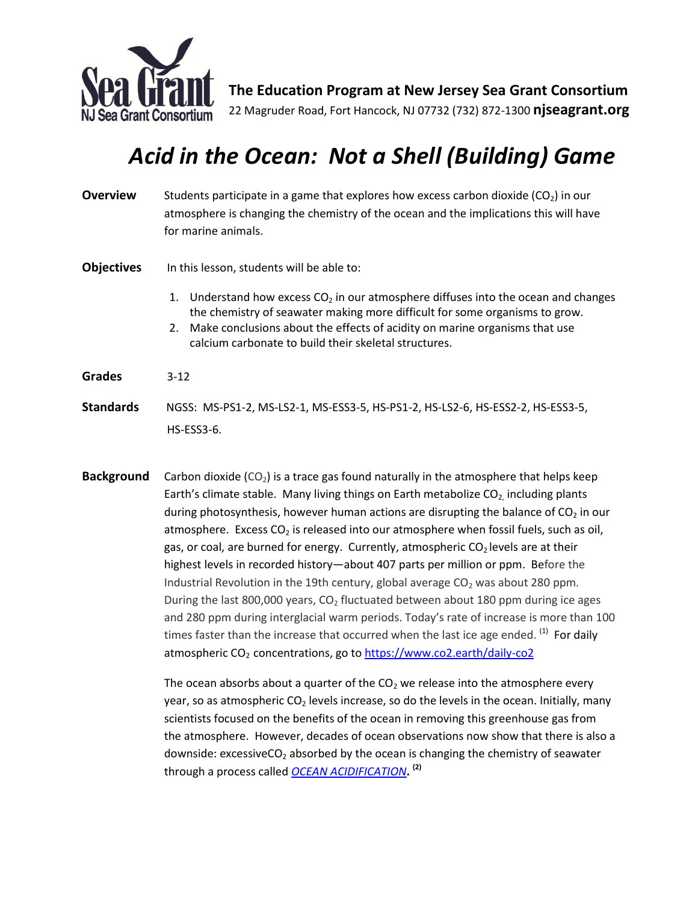

**The Education Program at New Jersey Sea Grant Consortium** 22 Magruder Road, Fort Hancock, NJ 07732 (732) 872-1300 **njseagrant.org**

# *Acid in the Ocean: Not a Shell (Building) Game*

| <b>Overview</b>   | Students participate in a game that explores how excess carbon dioxide $(CO_2)$ in our<br>atmosphere is changing the chemistry of the ocean and the implications this will have<br>for marine animals.                                                                                                                     |
|-------------------|----------------------------------------------------------------------------------------------------------------------------------------------------------------------------------------------------------------------------------------------------------------------------------------------------------------------------|
| <b>Objectives</b> | In this lesson, students will be able to:                                                                                                                                                                                                                                                                                  |
|                   | Understand how excess CO <sub>2</sub> in our atmosphere diffuses into the ocean and changes<br>1.<br>the chemistry of seawater making more difficult for some organisms to grow.<br>2. Make conclusions about the effects of acidity on marine organisms that use<br>calcium carbonate to build their skeletal structures. |
| <b>Grades</b>     | $3-12$                                                                                                                                                                                                                                                                                                                     |
| <b>Standards</b>  | NGSS: MS-PS1-2, MS-LS2-1, MS-ESS3-5, HS-PS1-2, HS-LS2-6, HS-ESS2-2, HS-ESS3-5,<br>$HS$ -ESS3-6.                                                                                                                                                                                                                            |

**Background** Carbon dioxide (CO<sub>2</sub>) is a trace gas found naturally in the atmosphere that helps keep Earth's climate stable. Many living things on Earth metabolize  $CO_{2}$ , including plants during photosynthesis, however human actions are disrupting the balance of  $CO<sub>2</sub>$  in our atmosphere. Excess  $CO<sub>2</sub>$  is released into our atmosphere when fossil fuels, such as oil, gas, or coal, are burned for energy. Currently, atmospheric  $CO<sub>2</sub>$  levels are at their highest levels in recorded history—about 407 parts per million or ppm. Before the Industrial Revolution in the 19th century, global average  $CO<sub>2</sub>$  was about 280 ppm. During the last 800,000 years,  $CO<sub>2</sub>$  fluctuated between about 180 ppm during ice ages and 280 ppm during interglacial warm periods. Today's rate of increase is more than 100 times faster than the increase that occurred when the last ice age ended. <sup>(1)</sup> For daily atmospheric CO<sub>2</sub> concentrations, go to<https://www.co2.earth/daily-co2>

> The ocean absorbs about a quarter of the  $CO<sub>2</sub>$  we release into the atmosphere every year, so as atmospheric  $CO<sub>2</sub>$  levels increase, so do the levels in the ocean. Initially, many scientists focused on the benefits of the ocean in removing this greenhouse gas from the atmosphere. However, decades of ocean observations now show that there is also a downside: excessiveCO<sub>2</sub> absorbed by the ocean is changing the chemistry of seawater through a process called *OCEAN [ACIDIFICATION](http://www.pmel.noaa.gov/co2/story/What+is+Ocean+Acidification%3F)***. (2)**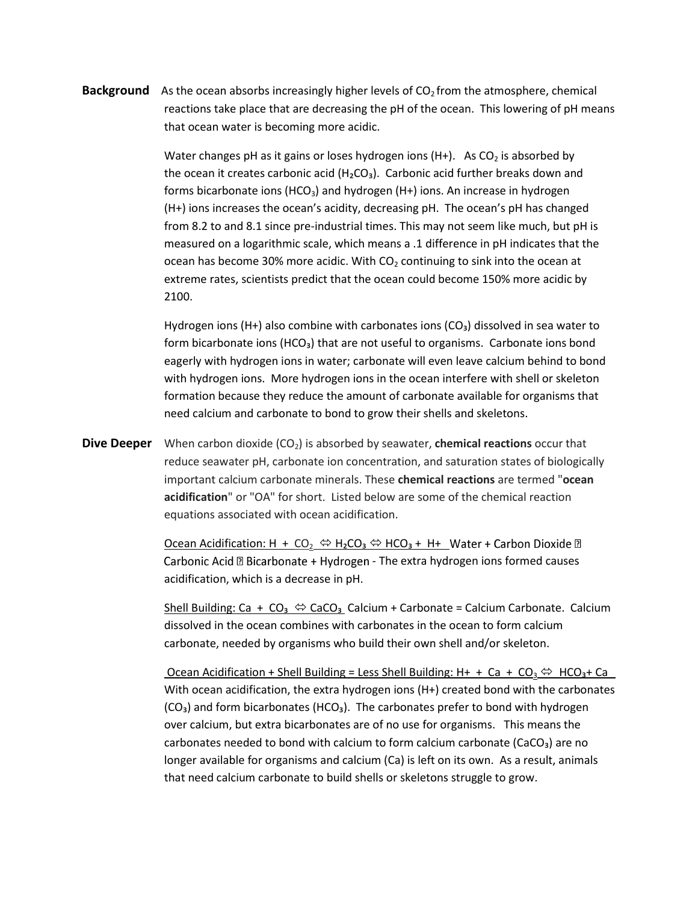**Background** As the ocean absorbs increasingly higher levels of CO<sub>2</sub> from the atmosphere, chemical reactions take place that are decreasing the pH of the ocean. This lowering of pH means that ocean water is becoming more acidic.

> Water changes pH as it gains or loses hydrogen ions (H+). As  $CO<sub>2</sub>$  is absorbed by the ocean it creates carbonic acid  $(H_2CO_3)$ . Carbonic acid further breaks down and forms bicarbonate ions (HCO<sub>3</sub>) and hydrogen (H+) ions. An increase in hydrogen (H+) ions increases the ocean's acidity, decreasing pH. The ocean's pH has changed from 8.2 to and 8.1 since pre-industrial times. This may not seem like much, but pH is measured on a logarithmic scale, which means a .1 difference in pH indicates that the ocean has become 30% more acidic. With  $CO<sub>2</sub>$  continuing to sink into the ocean at extreme rates, scientists predict that the ocean could become 150% more acidic by 2100.

Hydrogen ions (H+) also combine with carbonates ions ( $CO<sub>3</sub>$ ) dissolved in sea water to form bicarbonate ions (HCO<sub>3</sub>) that are not useful to organisms. Carbonate ions bond eagerly with hydrogen ions in water; carbonate will even leave calcium behind to bond with hydrogen ions. More hydrogen ions in the ocean interfere with shell or skeleton formation because they reduce the amount of carbonate available for organisms that need calcium and carbonate to bond to grow their shells and skeletons.

**Dive Deeper** When carbon dioxide (CO<sub>2</sub>) is absorbed by seawater, **chemical reactions** occur that reduce seawater pH, carbonate ion concentration, and saturation states of biologically important calcium carbonate minerals. These **chemical reactions** are termed "**ocean acidification**" or "OA" for short. Listed below are some of the chemical reaction equations associated with ocean acidification.

> Ocean Acidification: H + CO<sub>2</sub>  $\Leftrightarrow$  H<sub>2</sub>CO<sub>3</sub>  $\Leftrightarrow$  HCO<sub>3</sub> + H+ Water + Carbon Dioxide **D** Carbonic Acid @ Bicarbonate + Hydrogen - The extra hydrogen ions formed causes acidification, which is a decrease in pH.

Shell Building: Ca + CO<sub>3</sub>  $\Leftrightarrow$  CaCO<sub>3</sub> Calcium + Carbonate = Calcium Carbonate. Calcium dissolved in the ocean combines with carbonates in the ocean to form calcium carbonate, needed by organisms who build their own shell and/or skeleton.

<u>Ocean Acidification + Shell Building = Less Shell Building: H+ + Ca + CO<sub>3</sub>  $\Leftrightarrow$  HCO<sub>3</sub>+ Ca</u> With ocean acidification, the extra hydrogen ions (H+) created bond with the carbonates  $(CO<sub>3</sub>)$  and form bicarbonates (HCO<sub>3</sub>). The carbonates prefer to bond with hydrogen over calcium, but extra bicarbonates are of no use for organisms. This means the carbonates needed to bond with calcium to form calcium carbonate (CaCO₃) are no longer available for organisms and calcium (Ca) is left on its own. As a result, animals that need calcium carbonate to build shells or skeletons struggle to grow.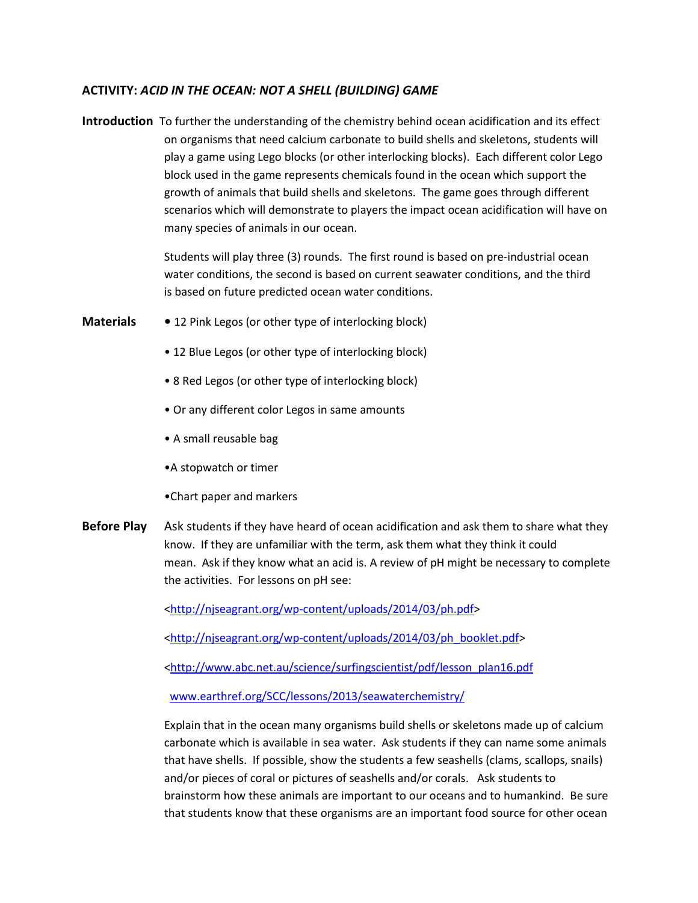## **ACTIVITY:** *ACID IN THE OCEAN: NOT A SHELL (BUILDING) GAME*

**Introduction** To further the understanding of the chemistry behind ocean acidification and its effect on organisms that need calcium carbonate to build shells and skeletons, students will play a game using Lego blocks (or other interlocking blocks). Each different color Lego block used in the game represents chemicals found in the ocean which support the growth of animals that build shells and skeletons. The game goes through different scenarios which will demonstrate to players the impact ocean acidification will have on many species of animals in our ocean.

> Students will play three (3) rounds. The first round is based on pre-industrial ocean water conditions, the second is based on current seawater conditions, and the third is based on future predicted ocean water conditions.

- **Materials** 12 Pink Legos (or other type of interlocking block)
	- 12 Blue Legos (or other type of interlocking block)
	- 8 Red Legos (or other type of interlocking block)
	- Or any different color Legos in same amounts
	- A small reusable bag
	- •A stopwatch or timer
	- •Chart paper and markers
- **Before Play** Ask students if they have heard of ocean acidification and ask them to share what they know. If they are unfamiliar with the term, ask them what they think it could mean. Ask if they know what an acid is. A review of pH might be necessary to complete the activities. For lessons on pH see:

[<http://njseagrant.org/wp-content/uploads/2014/03/ph.pdf>](http://njseagrant.org/wp-content/uploads/2014/03/ph.pdf)

[<http://njseagrant.org/wp-content/uploads/2014/03/ph\\_booklet.pdf>](http://njseagrant.org/wp-content/uploads/2014/03/ph_booklet.pdf)

[<http://www.abc.net.au/science/surfingscientist/pdf/lesson\\_plan16.pdf](http://www.abc.net.au/science/surfingscientist/pdf/lesson_plan16.pdf)

[www.earthref.org/SCC/lessons/2013/seawaterchemistry/](http://www.earthref.org/SCC/lessons/2013/seawaterchemistry/)

Explain that in the ocean many organisms build shells or skeletons made up of calcium carbonate which is available in sea water. Ask students if they can name some animals that have shells. If possible, show the students a few seashells (clams, scallops, snails) and/or pieces of coral or pictures of seashells and/or corals. Ask students to brainstorm how these animals are important to our oceans and to humankind. Be sure that students know that these organisms are an important food source for other ocean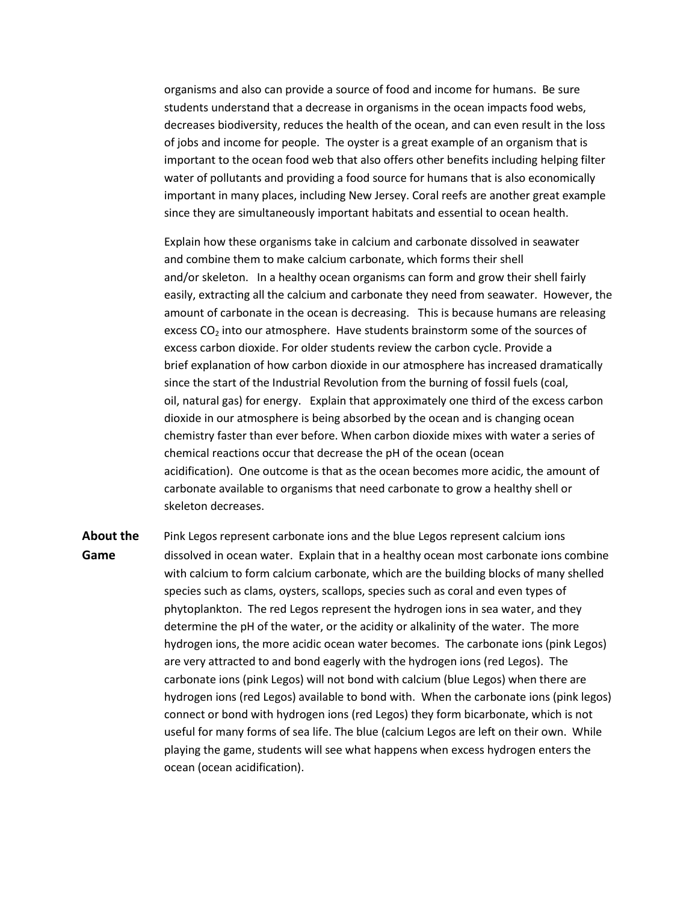organisms and also can provide a source of food and income for humans. Be sure students understand that a decrease in organisms in the ocean impacts food webs, decreases biodiversity, reduces the health of the ocean, and can even result in the loss of jobs and income for people. The oyster is a great example of an organism that is important to the ocean food web that also offers other benefits including helping filter water of pollutants and providing a food source for humans that is also economically important in many places, including New Jersey. Coral reefs are another great example since they are simultaneously important habitats and essential to ocean health.

Explain how these organisms take in calcium and carbonate dissolved in seawater and combine them to make calcium carbonate, which forms their shell and/or skeleton. In a healthy ocean organisms can form and grow their shell fairly easily, extracting all the calcium and carbonate they need from seawater. However, the amount of carbonate in the ocean is decreasing. This is because humans are releasing excess CO<sub>2</sub> into our atmosphere. Have students brainstorm some of the sources of excess carbon dioxide. For older students review the carbon cycle. Provide a brief explanation of how carbon dioxide in our atmosphere has increased dramatically since the start of the Industrial Revolution from the burning of fossil fuels (coal, oil, natural gas) for energy. Explain that approximately one third of the excess carbon dioxide in our atmosphere is being absorbed by the ocean and is changing ocean chemistry faster than ever before. When carbon dioxide mixes with water a series of chemical reactions occur that decrease the pH of the ocean (ocean acidification). One outcome is that as the ocean becomes more acidic, the amount of carbonate available to organisms that need carbonate to grow a healthy shell or skeleton decreases.

**About the** Pink Legos represent carbonate ions and the blue Legos represent calcium ions **Game** dissolved in ocean water. Explain that in a healthy ocean most carbonate ions combine with calcium to form calcium carbonate, which are the building blocks of many shelled species such as clams, oysters, scallops, species such as coral and even types of phytoplankton. The red Legos represent the hydrogen ions in sea water, and they determine the pH of the water, or the acidity or alkalinity of the water. The more hydrogen ions, the more acidic ocean water becomes. The carbonate ions (pink Legos) are very attracted to and bond eagerly with the hydrogen ions (red Legos). The carbonate ions (pink Legos) will not bond with calcium (blue Legos) when there are hydrogen ions (red Legos) available to bond with. When the carbonate ions (pink legos) connect or bond with hydrogen ions (red Legos) they form bicarbonate, which is not useful for many forms of sea life. The blue (calcium Legos are left on their own. While playing the game, students will see what happens when excess hydrogen enters the ocean (ocean acidification).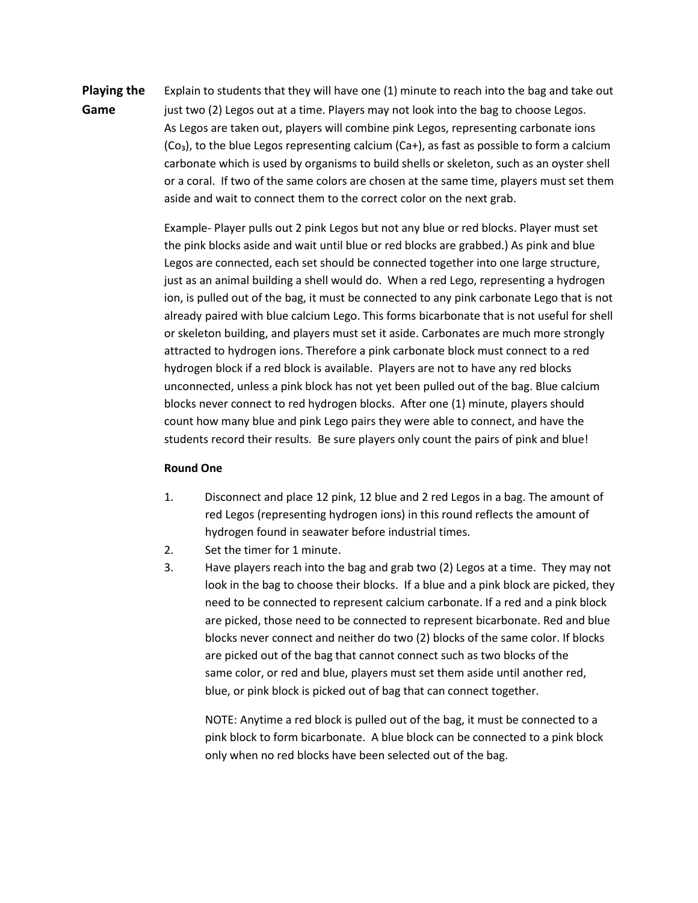**Playing the** Explain to students that they will have one (1) minute to reach into the bag and take out **Game** just two (2) Legos out at a time. Players may not look into the bag to choose Legos. As Legos are taken out, players will combine pink Legos, representing carbonate ions  $(Co<sub>3</sub>)$ , to the blue Legos representing calcium  $(Ca<sub>+</sub>)$ , as fast as possible to form a calcium carbonate which is used by organisms to build shells or skeleton, such as an oyster shell or a coral. If two of the same colors are chosen at the same time, players must set them aside and wait to connect them to the correct color on the next grab.

> Example- Player pulls out 2 pink Legos but not any blue or red blocks. Player must set the pink blocks aside and wait until blue or red blocks are grabbed.) As pink and blue Legos are connected, each set should be connected together into one large structure, just as an animal building a shell would do. When a red Lego, representing a hydrogen ion, is pulled out of the bag, it must be connected to any pink carbonate Lego that is not already paired with blue calcium Lego. This forms bicarbonate that is not useful for shell or skeleton building, and players must set it aside. Carbonates are much more strongly attracted to hydrogen ions. Therefore a pink carbonate block must connect to a red hydrogen block if a red block is available. Players are not to have any red blocks unconnected, unless a pink block has not yet been pulled out of the bag. Blue calcium blocks never connect to red hydrogen blocks. After one (1) minute, players should count how many blue and pink Lego pairs they were able to connect, and have the students record their results. Be sure players only count the pairs of pink and blue!

#### **Round One**

- 1. Disconnect and place 12 pink, 12 blue and 2 red Legos in a bag. The amount of red Legos (representing hydrogen ions) in this round reflects the amount of hydrogen found in seawater before industrial times.
- 2. Set the timer for 1 minute.
- 3. Have players reach into the bag and grab two (2) Legos at a time. They may not look in the bag to choose their blocks. If a blue and a pink block are picked, they need to be connected to represent calcium carbonate. If a red and a pink block are picked, those need to be connected to represent bicarbonate. Red and blue blocks never connect and neither do two (2) blocks of the same color. If blocks are picked out of the bag that cannot connect such as two blocks of the same color, or red and blue, players must set them aside until another red, blue, or pink block is picked out of bag that can connect together.

NOTE: Anytime a red block is pulled out of the bag, it must be connected to a pink block to form bicarbonate. A blue block can be connected to a pink block only when no red blocks have been selected out of the bag.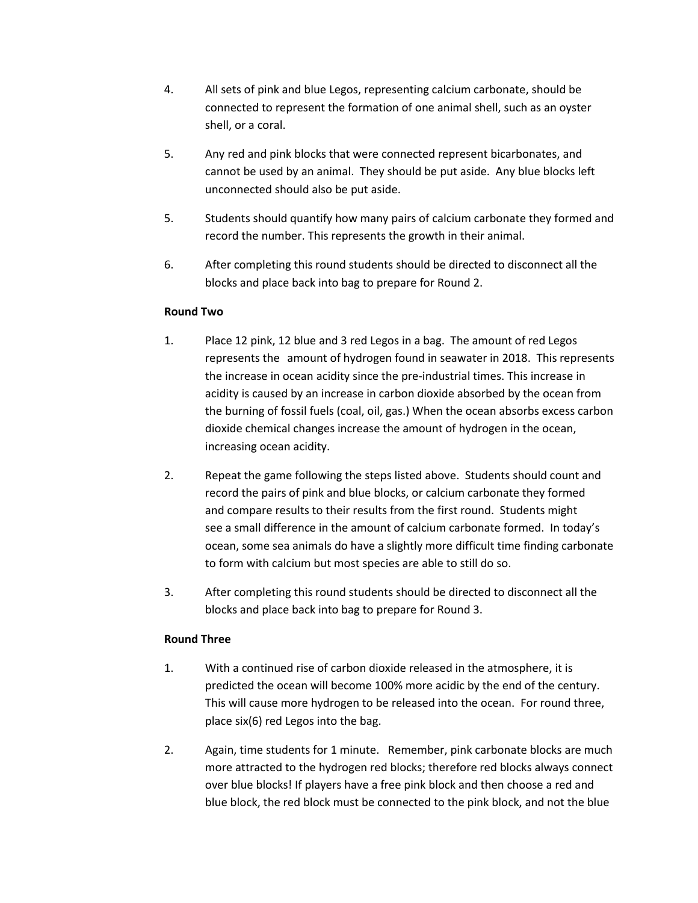- 4. All sets of pink and blue Legos, representing calcium carbonate, should be connected to represent the formation of one animal shell, such as an oyster shell, or a coral.
- 5. Any red and pink blocks that were connected represent bicarbonates, and cannot be used by an animal. They should be put aside. Any blue blocks left unconnected should also be put aside.
- 5. Students should quantify how many pairs of calcium carbonate they formed and record the number. This represents the growth in their animal.
- 6. After completing this round students should be directed to disconnect all the blocks and place back into bag to prepare for Round 2.

## **Round Two**

- 1. Place 12 pink, 12 blue and 3 red Legos in a bag. The amount of red Legos represents the amount of hydrogen found in seawater in 2018. This represents the increase in ocean acidity since the pre-industrial times. This increase in acidity is caused by an increase in carbon dioxide absorbed by the ocean from the burning of fossil fuels (coal, oil, gas.) When the ocean absorbs excess carbon dioxide chemical changes increase the amount of hydrogen in the ocean, increasing ocean acidity.
- 2. Repeat the game following the steps listed above. Students should count and record the pairs of pink and blue blocks, or calcium carbonate they formed and compare results to their results from the first round. Students might see a small difference in the amount of calcium carbonate formed. In today's ocean, some sea animals do have a slightly more difficult time finding carbonate to form with calcium but most species are able to still do so.
- 3. After completing this round students should be directed to disconnect all the blocks and place back into bag to prepare for Round 3.

## **Round Three**

- 1. With a continued rise of carbon dioxide released in the atmosphere, it is predicted the ocean will become 100% more acidic by the end of the century. This will cause more hydrogen to be released into the ocean. For round three, place six(6) red Legos into the bag.
- 2. Again, time students for 1 minute. Remember, pink carbonate blocks are much more attracted to the hydrogen red blocks; therefore red blocks always connect over blue blocks! If players have a free pink block and then choose a red and blue block, the red block must be connected to the pink block, and not the blue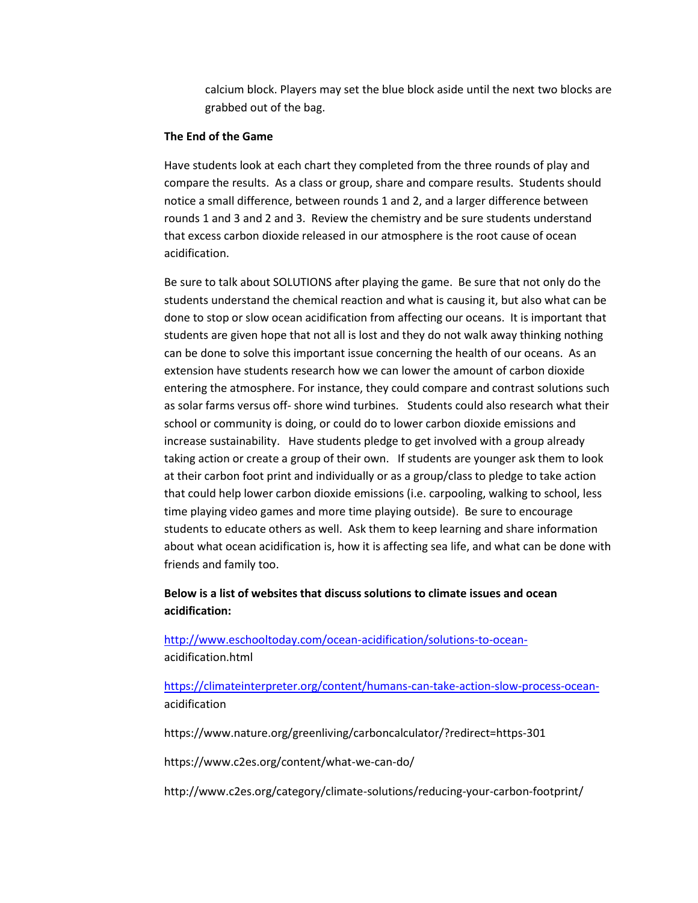calcium block. Players may set the blue block aside until the next two blocks are grabbed out of the bag.

#### **The End of the Game**

Have students look at each chart they completed from the three rounds of play and compare the results. As a class or group, share and compare results. Students should notice a small difference, between rounds 1 and 2, and a larger difference between rounds 1 and 3 and 2 and 3. Review the chemistry and be sure students understand that excess carbon dioxide released in our atmosphere is the root cause of ocean acidification.

Be sure to talk about SOLUTIONS after playing the game. Be sure that not only do the students understand the chemical reaction and what is causing it, but also what can be done to stop or slow ocean acidification from affecting our oceans. It is important that students are given hope that not all is lost and they do not walk away thinking nothing can be done to solve this important issue concerning the health of our oceans. As an extension have students research how we can lower the amount of carbon dioxide entering the atmosphere. For instance, they could compare and contrast solutions such as solar farms versus off- shore wind turbines. Students could also research what their school or community is doing, or could do to lower carbon dioxide emissions and increase sustainability. Have students pledge to get involved with a group already taking action or create a group of their own. If students are younger ask them to look at their carbon foot print and individually or as a group/class to pledge to take action that could help lower carbon dioxide emissions (i.e. carpooling, walking to school, less time playing video games and more time playing outside). Be sure to encourage students to educate others as well. Ask them to keep learning and share information about what ocean acidification is, how it is affecting sea life, and what can be done with friends and family too.

**Below is a list of websites that discuss solutions to climate issues and ocean acidification:**

[http://www.eschooltoday.com/ocean-acidification/solutions-to-ocean](http://www.eschooltoday.com/ocean-acidification/solutions-to-ocean-)acidification.html

[https://climateinterpreter.org/content/humans-can-take-action-slow-process-ocean](https://climateinterpreter.org/content/humans-can-take-action-slow-process-ocean-)acidification

https://www.nature.org/greenliving/carboncalculator/?redirect=https-301

https://www.c2es.org/content/what-we-can-do/

http://www.c2es.org/category/climate-solutions/reducing-your-carbon-footprint/